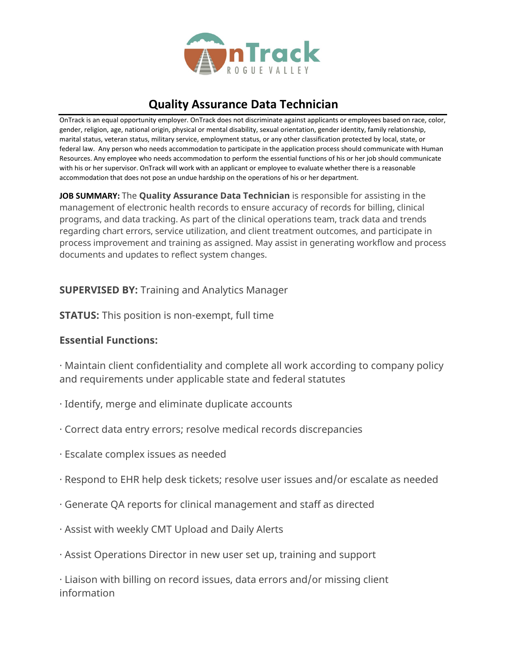

# **Quality Assurance Data Technician**

OnTrack is an equal opportunity employer. OnTrack does not discriminate against applicants or employees based on race, color, gender, religion, age, national origin, physical or mental disability, sexual orientation, gender identity, family relationship, marital status, veteran status, military service, employment status, or any other classification protected by local, state, or federal law. Any person who needs accommodation to participate in the application process should communicate with Human Resources. Any employee who needs accommodation to perform the essential functions of his or her job should communicate with his or her supervisor. OnTrack will work with an applicant or employee to evaluate whether there is a reasonable accommodation that does not pose an undue hardship on the operations of his or her department.

**JOB SUMMARY:** The **Quality Assurance Data Technician** is responsible for assisting in the management of electronic health records to ensure accuracy of records for billing, clinical programs, and data tracking. As part of the clinical operations team, track data and trends regarding chart errors, service utilization, and client treatment outcomes, and participate in process improvement and training as assigned. May assist in generating workflow and process documents and updates to reflect system changes.

#### **SUPERVISED BY:** Training and Analytics Manager

**STATUS:** This position is non-exempt, full time

### **Essential Functions:**

· Maintain client confidentiality and complete all work according to company policy and requirements under applicable state and federal statutes

- · Identify, merge and eliminate duplicate accounts
- · Correct data entry errors; resolve medical records discrepancies
- · Escalate complex issues as needed
- · Respond to EHR help desk tickets; resolve user issues and/or escalate as needed
- · Generate QA reports for clinical management and staff as directed
- · Assist with weekly CMT Upload and Daily Alerts
- · Assist Operations Director in new user set up, training and support

· Liaison with billing on record issues, data errors and/or missing client information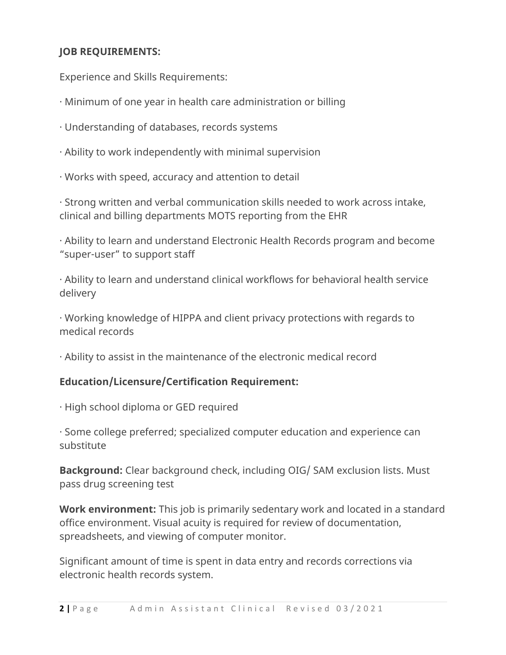## **JOB REQUIREMENTS:**

Experience and Skills Requirements:

- · Minimum of one year in health care administration or billing
- · Understanding of databases, records systems
- · Ability to work independently with minimal supervision
- · Works with speed, accuracy and attention to detail

· Strong written and verbal communication skills needed to work across intake, clinical and billing departments MOTS reporting from the EHR

· Ability to learn and understand Electronic Health Records program and become "super-user" to support staff

· Ability to learn and understand clinical workflows for behavioral health service delivery

· Working knowledge of HIPPA and client privacy protections with regards to medical records

· Ability to assist in the maintenance of the electronic medical record

#### **Education/Licensure/Certification Requirement:**

· High school diploma or GED required

· Some college preferred; specialized computer education and experience can substitute

**Background:** Clear background check, including OIG/ SAM exclusion lists. Must pass drug screening test

**Work environment:** This job is primarily sedentary work and located in a standard office environment. Visual acuity is required for review of documentation, spreadsheets, and viewing of computer monitor.

Significant amount of time is spent in data entry and records corrections via electronic health records system.